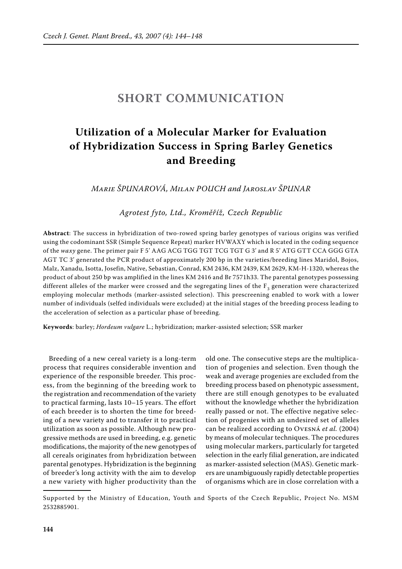## **SHORT COMMUNICATION**

## **Utilization of a molecular marker for evaluation of Hybridization success in spring Barley Genetics and Breeding**

*Marie Špunarová, Milan Pouch and Jaroslav Špunar*

*Agrotest fyto, Ltd., Kroměříž, Czech Republic*

**Abstract**: The success in hybridization of two-rowed spring barley genotypes of various origins was verified using the codominant SSR (Simple Sequence Repeat) marker HVWAXY which is located in the coding sequence of the *waxy* gene. The primer pair F 5' AAG ACG TGG TGT TCG TGT G 3' and R 5' ATG GTT CCA GGG GTA AGT TC 3' generated the PCR product of approximately 200 bp in the varieties/breeding lines Maridol, Bojos, Malz, Xanadu, Isotta, Josefin, Native, Sebastian, Conrad, KM 2436, KM 2439, KM 2629, KM-H-1320, whereas the product of about 250 bp was amplified in the lines KM 2416 and Br 7571h33. The parental genotypes possessing different alleles of the marker were crossed and the segregating lines of the  $F_3$  generation were characterized employing molecular methods (marker-assisted selection). This prescreening enabled to work with a lower number of individuals (selfed individuals were excluded) at the initial stages of the breeding process leading to the acceleration of selection as a particular phase of breeding.

**Keywords**: barley; *Hordeum vulgare* L.; hybridization; marker-assisted selection; SSR marker

Breeding of a new cereal variety is a long-term process that requires considerable invention and experience of the responsible breeder. This process, from the beginning of the breeding work to the registration and recommendation of the variety to practical farming, lasts 10–15 years. The effort of each breeder is to shorten the time for breeding of a new variety and to transfer it to practical utilization as soon as possible. Although new progressive methods are used in breeding, e.g. genetic modifications, the majority of the new genotypes of all cereals originates from hybridization between parental genotypes. Hybridization is the beginning of breeder's long activity with the aim to develop a new variety with higher productivity than the

old one. The consecutive steps are the multiplication of progenies and selection. Even though the weak and average progenies are excluded from the breeding process based on phenotypic assessment, there are still enough genotypes to be evaluated without the knowledge whether the hybridization really passed or not. The effective negative selection of progenies with an undesired set of alleles can be realized according to Ovesná *et al.* (2004) by means of molecular techniques. The procedures using molecular markers, particularly for targeted selection in the early filial generation, are indicated as marker-assisted selection (MAS). Genetic markers are unambiguously rapidly detectable properties of organisms which are in close correlation with a

Supported by the Ministry of Education, Youth and Sports of the Czech Republic, Project No. MSM 2532885901.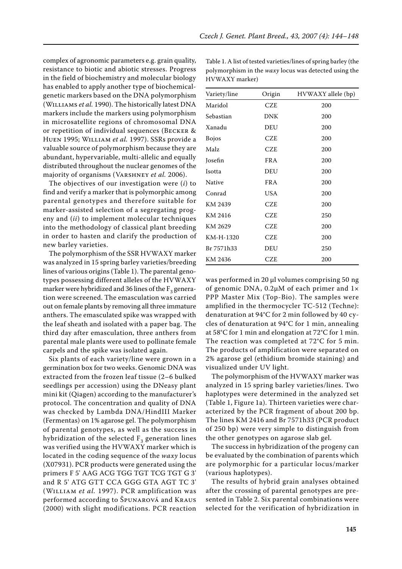complex of agronomic parameters e.g. grain quality, resistance to biotic and abiotic stresses. Progress in the field of biochemistry and molecular biology has enabled to apply another type of biochemicalgenetic markers based on the DNA polymorphism (Williams *et al.* 1990). The historically latest DNA markers include the markers using polymorphism in microsatellite regions of chromosomal DNA or repetition of individual sequences (Becker & Huen 1995; William *et al.* 1997). SSRs provide a valuable source of polymorphism because they are abundant, hypervariable, multi-allelic and equally distributed throughout the nuclear genomes of the majority of organisms (Varshney *et al.* 2006).

The objectives of our investigation were (*i*) to find and verify a marker that is polymorphic among parental genotypes and therefore suitable for marker-assisted selection of a segregating progeny and (*ii*) to implement molecular techniques into the methodology of classical plant breeding in order to hasten and clarify the production of new barley varieties.

The polymorphism of the SSR HVWAXY marker was analyzed in 15 spring barley varieties/breeding lines of various origins (Table 1). The parental genotypes possessing different alleles of the HVWAXY marker were hybridized and 36 lines of the  $F_3$  generation were screened. The emasculation was carried out on female plants by removing all three immature anthers. The emasculated spike was wrapped with the leaf sheath and isolated with a paper bag. The third day after emasculation, three anthers from parental male plants were used to pollinate female carpels and the spike was isolated again.

Six plants of each variety/line were grown in a germination box for two weeks. Genomic DNA was extracted from the frozen leaf tissue (2–6 bulked seedlings per accession) using the DNeasy plant mini kit (Qiagen) according to the manufacturer's protocol. The concentration and quality of DNA was checked by Lambda DNA/HindIII Marker (Fermentas) on 1% agarose gel. The polymorphism of parental genotypes, as well as the success in hybridization of the selected  $F_3$  generation lines was verified using the HVWAXY marker which is located in the coding sequence of the *waxy* locus (X07931). PCR products were generated using the primers F 5' AAG ACG TGG TGT TCG TGT G 3' and R 5' ATG GTT CCA GGG GTA AGT TC 3' (William *et al.* 1997). PCR amplification was performed according to Špunarová and Kraus (2000) with slight modifications. PCR reaction

| Variety/line | Origin     | HVWAXY allele (bp) |
|--------------|------------|--------------------|
| Maridol      | <b>CZE</b> | 200                |
| Sebastian    | DNK        | 200                |
| Xanadu       | DEU        | 200                |
| <b>Bojos</b> | <b>CZE</b> | 200                |
| Malz         | CZE        | 200                |
| Josefin      | <b>FRA</b> | 200                |
| Isotta       | DEU        | 200                |
| Native       | <b>FRA</b> | 200                |
| Conrad       | USA        | 200                |
| KM 2439      | <b>CZE</b> | 200                |
| KM 2416      | <b>CZE</b> | 250                |
| KM 2629      | CZE        | 200                |
| KM-H-1320    | <b>CZE</b> | 200                |
| Br 7571h33   | DEU        | 250                |
| KM 2436      | CZE        | 200                |

Table 1. A list of tested varieties/lines of spring barley (the polymorphism in the *waxy* locus was detected using the HVWAXY marker)

was performed in 20 µl volumes comprising 50 ng of genomic DNA, 0.2µM of each primer and 1× PPP Master Mix (Top-Bio). The samples were amplified in the thermocycler TC-512 (Techne): denaturation at 94°C for 2 min followed by 40 cycles of denaturation at 94°C for 1 min, annealing at 58°C for 1 min and elongation at 72°C for 1 min. The reaction was completed at 72°C for 5 min. The products of amplification were separated on 2% agarose gel (ethidium bromide staining) and visualized under UV light.

The polymorphism of the HVWAXY marker was analyzed in 15 spring barley varieties/lines. Two haplotypes were determined in the analyzed set (Table 1, Figure 1a). Thirteen varieties were characterized by the PCR fragment of about 200 bp. The lines KM 2416 and Br 7571h33 (PCR product of 250 bp) were very simple to distinguish from the other genotypes on agarose slab gel.

The success in hybridization of the progeny can be evaluated by the combination of parents which are polymorphic for a particular locus/marker (various haplotypes).

The results of hybrid grain analyses obtained after the crossing of parental genotypes are presented in Table 2. Six parental combinations were selected for the verification of hybridization in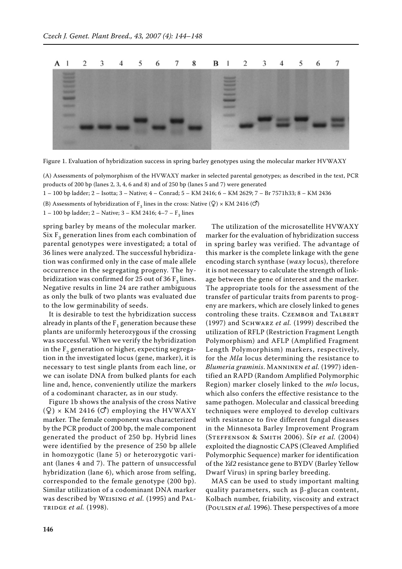

Figure 1. Evaluation of hybridization success in spring barley genotypes using the molecular marker HVWAXY

(A) Assessments of polymorphism of the HVWAXY marker in selected parental genotypes; as described in the text, PCR products of 200 bp (lanes 2, 3, 4, 6 and 8) and of 250 bp (lanes 5 and 7) were generated

1 – 100 bp ladder; 2 – Isotta; 3 – Native; 4 – Conrad; 5 – KM 2416; 6 – KM 2629; 7 – Br 7571h33; 8 – KM 2436

(B) Assessments of hybridization of  $F_3$  lines in the cross: Native (Q) × KM 2416 (O)

1 – 100 bp ladder; 2 – Native; 3 – KM 2416; 4–7 –  $F_2$  lines

spring barley by means of the molecular marker. Six  $F_3$  generation lines from each combination of parental genotypes were investigated; a total of 36 lines were analyzed. The successful hybridization was confirmed only in the case of male allele occurrence in the segregating progeny. The hybridization was confirmed for 25 out of 36  $F<sub>3</sub>$  lines. Negative results in line 24 are rather ambiguous as only the bulk of two plants was evaluated due to the low germinability of seeds.

It is desirable to test the hybridization success already in plants of the  $F_1$  generation because these plants are uniformly heterozygous if the crossing was successful. When we verify the hybridization in the  $F<sub>2</sub>$  generation or higher, expecting segregation in the investigated locus (gene, marker), it is necessary to test single plants from each line, or we can isolate DNA from bulked plants for each line and, hence, conveniently utilize the markers of a codominant character, as in our study.

Figure 1b shows the analysis of the cross Native  $(Q) \times KM$  2416 ( $\sigma$ ) employing the HVWAXY marker. The female component was characterized by the PCR product of 200 bp, the male component generated the product of 250 bp. Hybrid lines were identified by the presence of 250 bp allele in homozygotic (lane 5) or heterozygotic variant (lanes 4 and 7). The pattern of unsuccessful hybridization (lane 6), which arose from selfing, corresponded to the female genotype (200 bp). Similar utilization of a codominant DNA marker was described by Weising *et al.* (1995) and Paltridge *et al.* (1998).

The utilization of the microsatellite HVWAXY marker for the evaluation of hybridization success in spring barley was verified. The advantage of this marker is the complete linkage with the gene encoding starch synthase (*waxy* locus), therefore it is not necessary to calculate the strength of linkage between the gene of interest and the marker. The appropriate tools for the assessment of the transfer of particular traits from parents to progeny are markers, which are closely linked to genes controling these traits. CZEMBOR and TALBERT (1997) and Schwarz *et al.* (1999) described the utilization of RFLP (Restriction Fragment Length Polymorphism) and AFLP (Amplified Fragment Length Polymorphism) markers, respectively, for the *Mla* locus determining the resistance to *Blumeria graminis*. Manninen *et al.* (1997) identified an RAPD (Random Amplified Polymorphic Region) marker closely linked to the *mlo* locus, which also confers the effective resistance to the same pathogen. Molecular and classical breeding techniques were employed to develop cultivars with resistance to five different fungal diseases in the Minnesota Barley Improvement Program (Steffenson & Smith 2006). Šíp *et al.* (2004) exploited the diagnostic CAPS (Cleaved Amplified Polymorphic Sequence) marker for identification of the *Yd2* resistance gene to BYDV (Barley Yellow Dwarf Virus) in spring barley breeding.

MAS can be used to study important malting quality parameters, such as β-glucan content, Kolbach number, friability, viscosity and extract (Poulsen *et al.* 1996). These perspectives of a more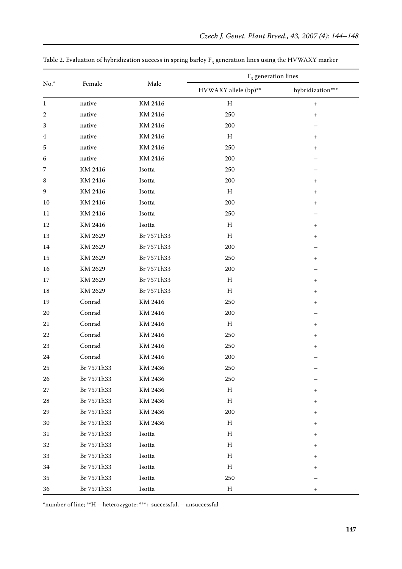| $No.*$           |              |            | $F_3$ generation lines    |                                  |  |
|------------------|--------------|------------|---------------------------|----------------------------------|--|
|                  | Female       | Male       | HVWAXY allele (bp)**      | hybridization***                 |  |
| $\mathbf{1}$     | native       | KM 2416    | H                         | $\begin{array}{c} + \end{array}$ |  |
| 2                | $\rm native$ | KM 2416    | 250                       | $\ddot{}$                        |  |
| 3                | $\rm native$ | KM 2416    | 200                       |                                  |  |
| $\boldsymbol{4}$ | native       | KM 2416    | $\,$ H                    | $^{+}$                           |  |
| 5                | native       | KM 2416    | 250                       | $^{+}$                           |  |
| 6                | native       | KM 2416    | 200                       |                                  |  |
| 7                | KM 2416      | Isotta     | 250                       |                                  |  |
| 8                | KM 2416      | Isotta     | 200                       | $^{+}$                           |  |
| 9                | KM 2416      | Isotta     | $H_{\rm}$                 | $\begin{array}{c} + \end{array}$ |  |
| 10               | KM 2416      | Isotta     | 200                       | $\begin{array}{c} + \end{array}$ |  |
| 11               | KM 2416      | Isotta     | 250                       |                                  |  |
| 12               | KM 2416      | Isotta     | H                         | $^{+}$                           |  |
| 13               | KM 2629      | Br 7571h33 | $H_{\rm}$                 | $\ddot{}$                        |  |
| 14               | KM 2629      | Br 7571h33 | 200                       |                                  |  |
| $15\,$           | KM 2629      | Br 7571h33 | 250                       | $^{+}$                           |  |
| 16               | KM 2629      | Br 7571h33 | 200                       |                                  |  |
| 17               | KM 2629      | Br 7571h33 | $H_{\rm}$                 | $\begin{array}{c} + \end{array}$ |  |
| 18               | KM 2629      | Br 7571h33 | H                         | $\begin{array}{c} + \end{array}$ |  |
| 19               | Conrad       | KM 2416    | 250                       | $^{+}$                           |  |
| $20\,$           | Conrad       | KM 2416    | 200                       |                                  |  |
| 21               | Conrad       | KM 2416    | H                         | $^{+}$                           |  |
| 22               | Conrad       | KM 2416    | 250                       | $\overline{+}$                   |  |
| 23               | Conrad       | KM 2416    | 250                       | $\overline{+}$                   |  |
| 24               | Conrad       | KM 2416    | 200                       |                                  |  |
| 25               | Br 7571h33   | KM 2436    | 250                       |                                  |  |
| 26               | Br 7571h33   | KM 2436    | 250                       |                                  |  |
| $27\,$           | Br 7571h33   | KM 2436    | $\boldsymbol{\mathrm{H}}$ | $^{+}$                           |  |
| $\sqrt{28}$      | Br 7571h33   | KM 2436    | $H_{\rm}$                 | $^{+}$                           |  |
| 29               | Br 7571h33   | KM 2436    | 200                       | $^{+}$                           |  |
| $30\,$           | Br 7571h33   | KM 2436    | $H_{\rm}$                 | $^{+}$                           |  |
| 31               | Br 7571h33   | Isotta     | $H_{\rm}$                 | $^+$                             |  |
| 32               | Br 7571h33   | Isotta     | $H_{\rm}$                 | $^+$                             |  |
| 33               | Br 7571h33   | Isotta     | $H_{\rm}$                 | $^{+}$                           |  |
| 34               | Br 7571h33   | Isotta     | H                         | $^{\mathrm{+}}$                  |  |
| 35               | Br 7571h33   | Isotta     | 250                       |                                  |  |
| 36               | Br 7571h33   | Isotta     | $H_{\rm}$                 | $\begin{array}{c} + \end{array}$ |  |

Table 2. Evaluation of hybridization success in spring barley  $\mathrm{F}_3$  generation lines using the HVWAXY marker

\*number of line; \*\*H – heterozygote; \*\*\*+ successful, – unsuccessful